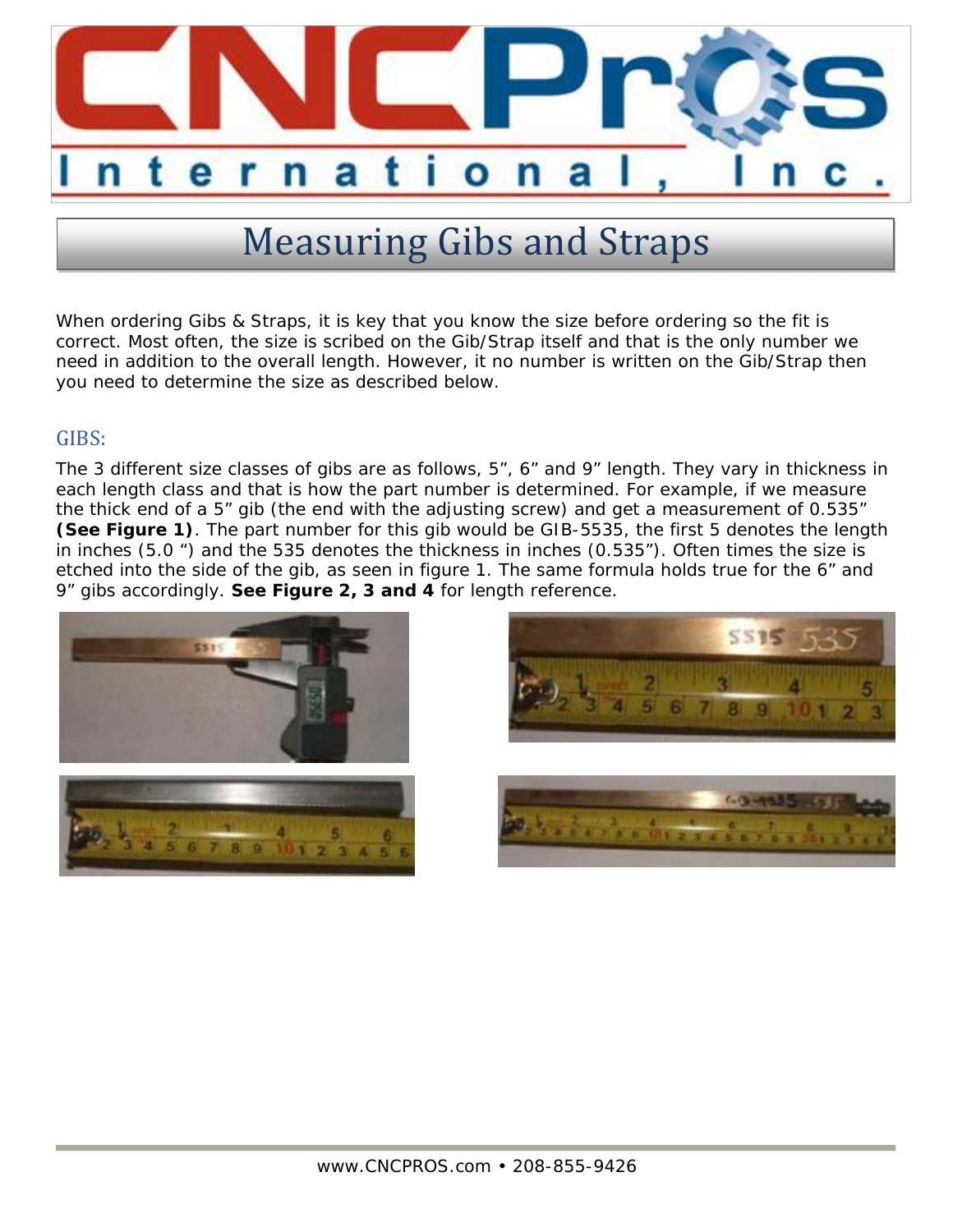

# Measuring Gibs and Straps

When ordering Gibs & Straps, it is key that you know the size before ordering so the fit is correct. Most often, the size is scribed on the Gib/Strap itself and that is the only number we need in addition to the overall length. However, it no number is written on the Gib/Strap then you need to determine the size as described below.

### GIBS:

The 3 different size classes of gibs are as follows, 5", 6" and 9" length. They vary in thickness in each length class and that is how the part number is determined. For example, if we measure the thick end of a 5" gib (the end with the adjusting screw) and get a measurement of 0.535" **(See Figure 1)**. The part number for this gib would be GIB-5535, the first 5 denotes the length in inches (5.0 ") and the 535 denotes the thickness in inches (0.535"). Often times the size is etched into the side of the gib, as seen in figure 1. The same formula holds true for the 6" and 9" gibs accordingly. **See Figure 2, 3 and 4** for length reference.





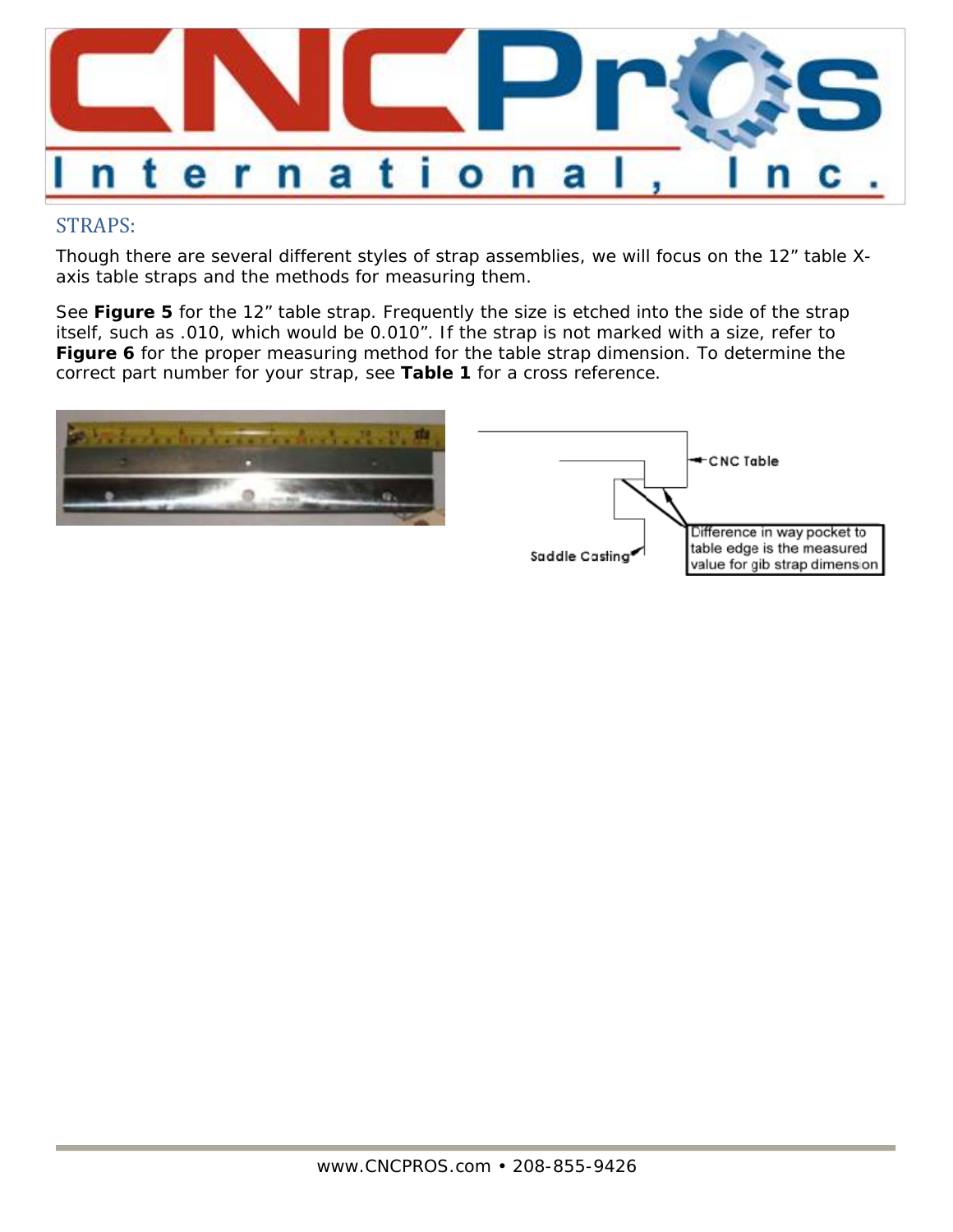

## STRAPS:

Though there are several different styles of strap assemblies, we will focus on the 12" table Xaxis table straps and the methods for measuring them.

See **Figure 5** for the 12" table strap. Frequently the size is etched into the side of the strap itself, such as .010, which would be 0.010". If the strap is not marked with a size, refer to **Figure 6** for the proper measuring method for the table strap dimension. To determine the correct part number for your strap, see **Table 1** for a cross reference.